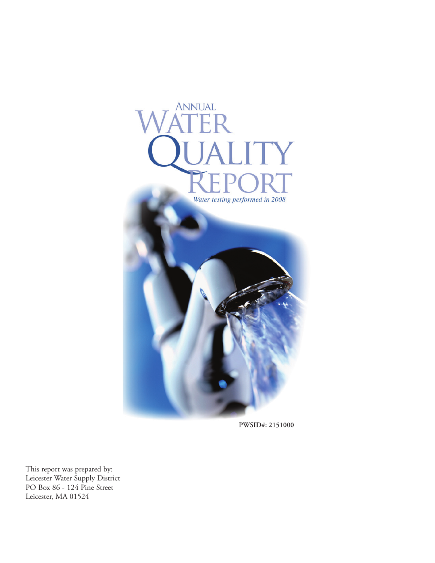

**PWSID#: 2151000**

This report was prepared by: Leicester Water Supply District PO Box 86 - 124 Pine Street Leicester, MA 01524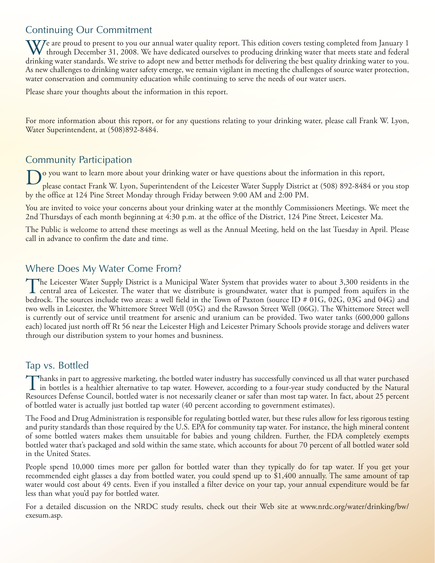# Continuing Our Commitment

We are proud to present to you our annual water quality report. This edition covers testing completed from January 1 through December 31, 2008. We have dedicated ourselves to producing drinking water that meets state and federal drinking water standards. We strive to adopt new and better methods for delivering the best quality drinking water to you. As new challenges to drinking water safety emerge, we remain vigilant in meeting the challenges of source water protection, water conservation and community education while continuing to serve the needs of our water users.

Please share your thoughts about the information in this report.

For more information about this report, or for any questions relating to your drinking water, please call Frank W. Lyon, Water Superintendent, at (508)892-8484.

## Community Participation

o you want to learn more about your drinking water or have questions about the information in this report,

please contact Frank W. Lyon, Superintendent of the Leicester Water Supply District at (508) 892-8484 or you stop by the office at 124 Pine Street Monday through Friday between 9:00 AM and 2:00 PM.

You are invited to voice your concerns about your drinking water at the monthly Commissioners Meetings. We meet the 2nd Thursdays of each month beginning at 4:30 p.m. at the office of the District, 124 Pine Street, Leicester Ma.

The Public is welcome to attend these meetings as well as the Annual Meeting, held on the last Tuesday in April. Please call in advance to confirm the date and time.

## Where Does My Water Come From?

The Leicester Water Supply District is a Municipal Water System that provides water to about 3,300 residents in the<br>central area of Leicester. The water that we distribute is groundwater, water that is pumped from aquifers bedrock. The sources include two areas: a well field in the Town of Paxton (source ID # 01G, 02G, 03G and 04G) and two wells in Leicester, the Whittemore Street Well (05G) and the Rawson Street Well (06G). The Whittemore Street well is currently out of service until treatment for arsenic and uranium can be provided. Two water tanks (600,000 gallons each) located just north off Rt 56 near the Leicester High and Leicester Primary Schools provide storage and delivers water through our distribution system to your homes and busniness.

## Tap vs. Bottled

Thanks in part to aggressive marketing, the bottled water industry has successfully convinced us all that water purchased<br>in bottles is a healthier alternative to tap water. However, according to a four-year study conducte Resources Defense Council, bottled water is not necessarily cleaner or safer than most tap water. In fact, about 25 percent of bottled water is actually just bottled tap water (40 percent according to government estimates).

The Food and Drug Administration is responsible for regulating bottled water, but these rules allow for less rigorous testing and purity standards than those required by the U.S. EPA for community tap water. For instance, the high mineral content of some bottled waters makes them unsuitable for babies and young children. Further, the FDA completely exempts bottled water that's packaged and sold within the same state, which accounts for about 70 percent of all bottled water sold in the United States.

People spend 10,000 times more per gallon for bottled water than they typically do for tap water. If you get your recommended eight glasses a day from bottled water, you could spend up to \$1,400 annually. The same amount of tap water would cost about 49 cents. Even if you installed a filter device on your tap, your annual expenditure would be far less than what you'd pay for bottled water.

For a detailed discussion on the NRDC study results, check out their Web site at www.nrdc.org/water/drinking/bw/ exesum.asp.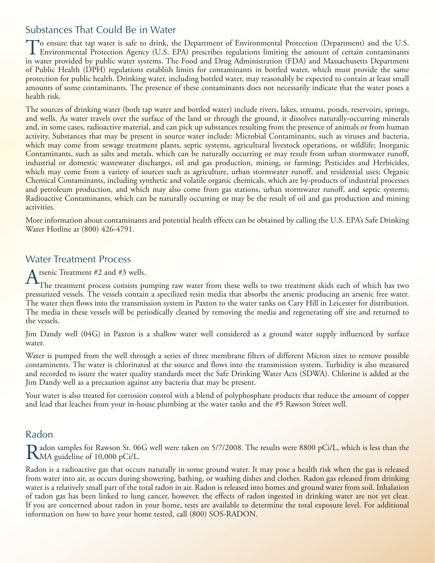## Substances That Could Be in Water

To ensure that tap water is safe to drink, the Department of Environmental Protection (Department) and the U.S. Environmental Protection Agency (U.S. EPA) prescribes regulations limiting the amount of certain contaminants in water provided by public water systems. The Food and Drug Administration (FDA) and Massachusetts Department of Public Health (DPH) regulations establish limits for contaminants in bottled water, which must provide the same protection for public health. Drinking water, including bottled water, may reasonably be expected to contain at least small amounts of some contaminants. The presence of these contaminants does not necessarily indicate that the water poses a health risk.

The sources of drinking water (both tap water and bottled water) include rivers, lakes, streams, ponds, reservoirs, springs, and wells. As water travels over the surface of the land or through the ground, it dissolves naturally-occurring minerals and, in some cases, radioactive material, and can pick up substances resulting from the presence of animals or from human activity. Substances that may be present in source water include: Microbial Contaminants, such as viruses and bacteria, which may come from sewage treatment plants, septic systems, agricultural livestock operations, or wildlife; Inorganic Contaminants, such as salts and metals, which can be naturally occurring or may result from urban stormwater runoff, industrial or domestic wastewater discharges, oil and gas production, mining, or farming; Pesticides and Herbicides, which may come from a variety of sources such as agriculture, urban stormwater runoff, and residential uses; Organic Chemical Contaminants, including synthetic and volatile organic chemicals, which are by-products of industrial processes and petroleum production, and which may also come from gas stations, urban stormwater runoff, and septic systems; Radioactive Contaminants, which can be naturally occurring or may be the result of oil and gas production and mining activities.

More information about contaminants and potential health effects can be obtained by calling the U.S. EPA's Safe Drinking Water Hotline at (800) 426-4791.

### Water Treatment Process

rsenic Treatment  $#2$  and  $#3$  wells.

The treatment process consists pumping raw water from these wells to two treatment skids each of which has two pressurized vessels. The vessels contain a specilized resin media that absorbs the arsenic producing an arsenic free water. The water then flows into the transmission system in Paxton to the water tanks on Cary Hill in Leicester for distribution. The media in these vessels will be periodically cleaned by removing the media and regenerating off site and returned to the vessels.

Jim Dandy well (04G) in Paxton is a shallow water well considered as a ground water supply influenced by surface water.

Water is pumped from the well through a series of three membrane filters of different Micron sizes to remove possible contaminents. The water is chlorinated at the source and flows into the transmission system. Turbidity is also measured and recorded to issure the water quality standards meet the Safe Drinking Water Acts (SDWA). Chlorine is added at the Jim Dandy well as a precaution against any bacteria that may be present.

Your water is also treated for corrosion control with a blend of polyphosphate products that reduce the amount of copper and lead that leaches from your in-house plumbing at the water tanks and the #5 Rawson Street well.

### Radon

Radon samples for Rawson St. 06G well were taken on 5/7/2008. The results were 8800 pCi/L, which is less than the MA guideline of 10,000 pCi/L.

Radon is a radioactive gas that occurs naturally in some ground water. It may pose a health risk when the gas is released from water into air, as occurs during showering, bathing, or washing dishes and clothes. Radon gas released from drinking water is a relatively small part of the total radon in air. Radon is released into homes and ground water from soil. Inhalation of radon gas has been linked to lung cancer, however, the effects of radon ingested in drinking water are not yet clear. If you are concerned about radon in your home, tests are available to determine the total exposure level. For additional information on how to have your home tested, call (800) SOS-RADON.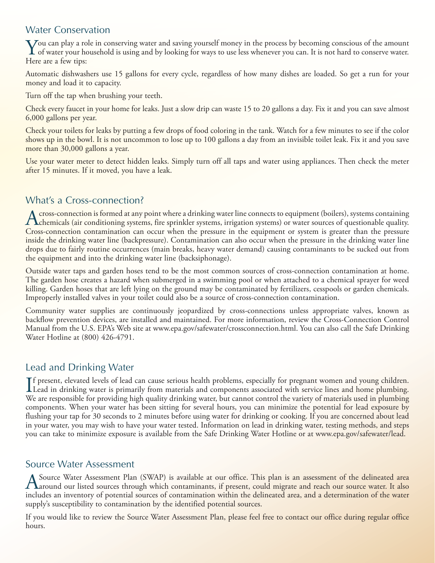## Water Conservation

You can play a role in conserving water and saving yourself money in the process by becoming conscious of the amount<br>of water your household is using and by looking for ways to use less whenever you can. It is not hard to Here are a few tips:

Automatic dishwashers use 15 gallons for every cycle, regardless of how many dishes are loaded. So get a run for your money and load it to capacity.

Turn off the tap when brushing your teeth.

Check every faucet in your home for leaks. Just a slow drip can waste 15 to 20 gallons a day. Fix it and you can save almost 6,000 gallons per year.

Check your toilets for leaks by putting a few drops of food coloring in the tank. Watch for a few minutes to see if the color shows up in the bowl. It is not uncommon to lose up to 100 gallons a day from an invisible toilet leak. Fix it and you save more than 30,000 gallons a year.

Use your water meter to detect hidden leaks. Simply turn off all taps and water using appliances. Then check the meter after 15 minutes. If it moved, you have a leak.

## What's a Cross-connection?

A cross-connection is formed at any point where a drinking water line connects to equipment (boilers), systems containing<br>Chemicals (air conditioning systems, fire sprinkler systems, irrigation systems) or water sources of Cross-connection contamination can occur when the pressure in the equipment or system is greater than the pressure inside the drinking water line (backpressure). Contamination can also occur when the pressure in the drinking water line drops due to fairly routine occurrences (main breaks, heavy water demand) causing contaminants to be sucked out from the equipment and into the drinking water line (backsiphonage).

Outside water taps and garden hoses tend to be the most common sources of cross-connection contamination at home. The garden hose creates a hazard when submerged in a swimming pool or when attached to a chemical sprayer for weed killing. Garden hoses that are left lying on the ground may be contaminated by fertilizers, cesspools or garden chemicals. Improperly installed valves in your toilet could also be a source of cross-connection contamination.

Community water supplies are continuously jeopardized by cross-connections unless appropriate valves, known as backflow prevention devices, are installed and maintained. For more information, review the Cross-Connection Control Manual from the U.S. EPA's Web site at www.epa.gov/safewater/crossconnection.html. You can also call the Safe Drinking Water Hotline at (800) 426-4791.

## Lead and Drinking Water

If present, elevated levels of lead can cause serious health problems, especially for pregnant women and young children.<br>Lead in drinking water is primarily from materials and components associated with service lines and h Lead in drinking water is primarily from materials and components associated with service lines and home plumbing. We are responsible for providing high quality drinking water, but cannot control the variety of materials used in plumbing components. When your water has been sitting for several hours, you can minimize the potential for lead exposure by flushing your tap for 30 seconds to 2 minutes before using water for drinking or cooking. If you are concerned about lead in your water, you may wish to have your water tested. Information on lead in drinking water, testing methods, and steps you can take to minimize exposure is available from the Safe Drinking Water Hotline or at www.epa.gov/safewater/lead.

### Source Water Assessment

A Source Water Assessment Plan (SWAP) is available at our office. This plan is an assessment of the delineated area<br>A around our listed sources through which contaminants, if present, could migrate and reach our source wat includes an inventory of potential sources of contamination within the delineated area, and a determination of the water supply's susceptibility to contamination by the identified potential sources.

If you would like to review the Source Water Assessment Plan, please feel free to contact our office during regular office hours.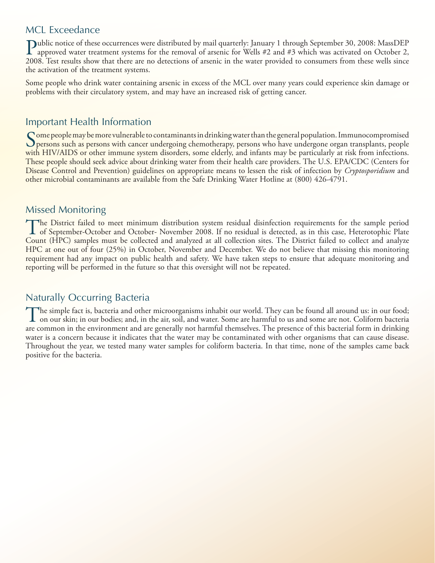#### MCL Exceedance

Public notice of these occurrences were distributed by mail quarterly: January 1 through September 30, 2008: MassDEP<br>approved water treatment systems for the removal of arsenic for Wells #2 and #3 which was activated on Oc 2008. Test results show that there are no detections of arsenic in the water provided to consumers from these wells since the activation of the treatment systems.

Some people who drink water containing arsenic in excess of the MCL over many years could experience skin damage or problems with their circulatory system, and may have an increased risk of getting cancer.

### Important Health Information

Some people may be more vulnerable to contaminants in drinking water than the general population. Immunocompromised<br>Spersons such as persons with cancer undergoing chemotherapy, persons who have undergone organ transplants with HIV/AIDS or other immune system disorders, some elderly, and infants may be particularly at risk from infections. These people should seek advice about drinking water from their health care providers. The U.S. EPA/CDC (Centers for Disease Control and Prevention) guidelines on appropriate means to lessen the risk of infection by *Cryptosporidium* and other microbial contaminants are available from the Safe Drinking Water Hotline at (800) 426-4791.

### Missed Monitoring

The District failed to meet minimum distribution system residual disinfection requirements for the sample period<br>of September-October and October- November 2008. If no residual is detected, as in this case, Heterotophic Pl Count (HPC) samples must be collected and analyzed at all collection sites. The District failed to collect and analyze HPC at one out of four (25%) in October, November and December. We do not believe that missing this monitoring requirement had any impact on public health and safety. We have taken steps to ensure that adequate monitoring and reporting will be performed in the future so that this oversight will not be repeated.

### Naturally Occurring Bacteria

The simple fact is, bacteria and other microorganisms inhabit our world. They can be found all around us: in our food;<br>on our skin; in our bodies; and, in the air, soil, and water. Some are harmful to us and some are not. are common in the environment and are generally not harmful themselves. The presence of this bacterial form in drinking water is a concern because it indicates that the water may be contaminated with other organisms that can cause disease. Throughout the year, we tested many water samples for coliform bacteria. In that time, none of the samples came back positive for the bacteria.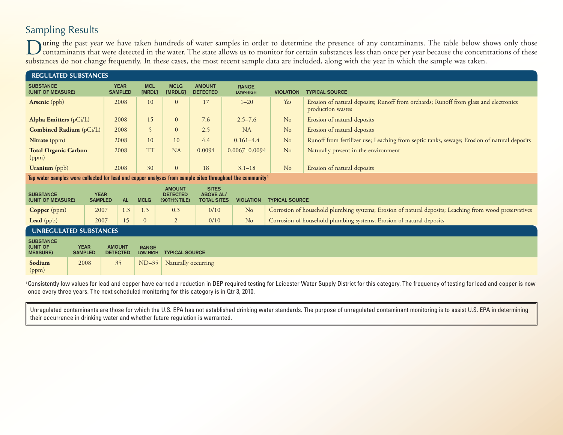# Sampling Results

During the past year we have taken hundreds of water samples in order to determine the presence of any contaminants. The table below shows only those<br>contaminants that were detected in the water. The state allows us to mon substances do not change frequently. In these cases, the most recent sample data are included, along with the year in which the sample was taken.

| <b>REGULATED SUBSTANCES</b>                                                                                           |                               |      |                                                                                       |                               |                      |                                                 |                                                        |                          |                       |                                                                                                           |
|-----------------------------------------------------------------------------------------------------------------------|-------------------------------|------|---------------------------------------------------------------------------------------|-------------------------------|----------------------|-------------------------------------------------|--------------------------------------------------------|--------------------------|-----------------------|-----------------------------------------------------------------------------------------------------------|
| <b>SUBSTANCE</b><br>(UNIT OF MEASURE)                                                                                 |                               |      |                                                                                       | <b>YEAR</b><br><b>SAMPLED</b> | <b>MCL</b><br>[MRDL] | <b>MCLG</b><br>[MRDLG]                          | <b>AMOUNT</b><br><b>DETECTED</b>                       | <b>RANGE</b><br>LOW-HIGH | <b>VIOLATION</b>      | <b>TYPICAL SOURCE</b>                                                                                     |
| <b>Arsenic</b> (ppb)                                                                                                  |                               |      | 2008                                                                                  |                               | 10                   | $\overline{0}$                                  | 17                                                     | $1 - 20$                 | Yes                   | Erosion of natural deposits; Runoff from orchards; Runoff from glass and electronics<br>production wastes |
| <b>Alpha Emitters</b> (pCi/L)                                                                                         |                               |      | 2008                                                                                  |                               | 15                   | $\Omega$                                        | 7.6                                                    | $2.5 - 7.6$              | N <sub>o</sub>        | Erosion of natural deposits                                                                               |
| Combined Radium (pCi/L)                                                                                               |                               |      | 2008                                                                                  |                               | 5                    | $\overline{0}$                                  | 2.5                                                    | <b>NA</b>                | N <sub>o</sub>        | Erosion of natural deposits                                                                               |
| Nitrate (ppm)                                                                                                         |                               |      | 2008                                                                                  |                               | 10                   | 10                                              | 4.4                                                    | $0.161 - 4.4$            | No                    | Runoff from fertilizer use; Leaching from septic tanks, sewage; Erosion of natural deposits               |
| (ppm)                                                                                                                 | <b>Total Organic Carbon</b>   |      | 2008                                                                                  |                               | <b>TT</b>            | <b>NA</b>                                       | 0.0094                                                 | $0.0067 - 0.0094$        | No                    | Naturally present in the environment                                                                      |
|                                                                                                                       | <b>Uranium</b> (ppb)          |      | 2008                                                                                  |                               | 30                   | $\overline{0}$                                  | 18                                                     | $3.1 - 18$               | No                    | Erosion of natural deposits                                                                               |
| Tap water samples were collected for lead and copper analyses from sample sites throughout the community <sup>1</sup> |                               |      |                                                                                       |                               |                      |                                                 |                                                        |                          |                       |                                                                                                           |
| <b>SUBSTANCE</b>                                                                                                      | (UNIT OF MEASURE)             |      | <b>YEAR</b><br><b>SAMPLED</b><br><b>AL</b>                                            |                               | <b>MCLG</b>          | <b>AMOUNT</b><br><b>DETECTED</b><br>(90TH%TILE) | <b>SITES</b><br><b>ABOVE AL/</b><br><b>TOTAL SITES</b> | <b>VIOLATION</b>         | <b>TYPICAL SOURCE</b> |                                                                                                           |
| <b>Copper</b> (ppm)                                                                                                   |                               | 2007 |                                                                                       | 1.3                           | 1.3                  | 0.3                                             | 0/10                                                   | N <sub>o</sub>           |                       | Corrosion of household plumbing systems; Erosion of natural deposits; Leaching from wood preservatives    |
| Lead (ppb)                                                                                                            | 2007                          |      | 15                                                                                    |                               | $\overline{0}$       | $\overline{2}$                                  | 0/10                                                   | N <sub>o</sub>           |                       | Corrosion of household plumbing systems; Erosion of natural deposits                                      |
| <b>UNREGULATED SUBSTANCES</b>                                                                                         |                               |      |                                                                                       |                               |                      |                                                 |                                                        |                          |                       |                                                                                                           |
| <b>SUBSTANCE</b><br>(UNIT OF<br><b>MEASURE)</b>                                                                       | <b>YEAR</b><br><b>SAMPLED</b> |      | <b>AMOUNT</b><br><b>RANGE</b><br><b>DETECTED</b><br><b>TYPICAL SOURCE</b><br>LOW-HIGH |                               |                      |                                                 |                                                        |                          |                       |                                                                                                           |
| Sodium<br>(ppm)                                                                                                       | 2008                          |      | 35                                                                                    |                               | $ND-35$              | Naturally occurring                             |                                                        |                          |                       |                                                                                                           |

<sup>1</sup> Consistently low values for lead and copper have earned a reduction in DEP required testing for Leicester Water Supply District for this category. The frequency of testing for lead and copper is now once every three years. The next scheduled monitoring for this category is in Qtr 3, 2010.

Unregulated contaminants are those for which the U.S. EPA has not established drinking water standards. The purpose of unregulated contaminant monitoring is to assist U.S. EPA in determining their occurrence in drinking water and whether future regulation is warranted.